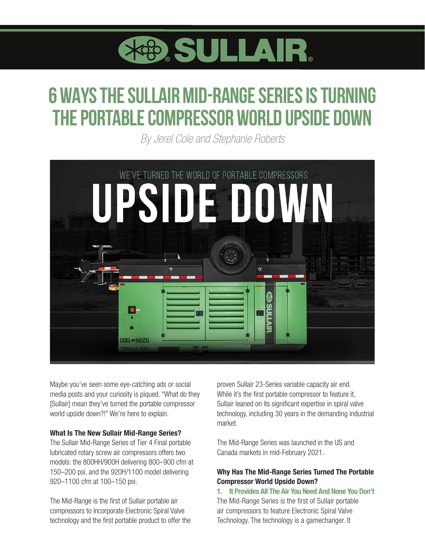

# **6 WAYS THE SULLAIR MID-RANGE SERIES IS TURNING THE PORTABLE COMPRESSOR WORLD UPSIDE DOWN**

*By Jerel Cole and Stephanie Roberts*



Maybe you've seen some eye-catching ads or social media posts and your curiosity is piqued. "What do they [Sullair] mean they've turned the portable compressor world upside down?!" We're here to explain.

#### What Is The New Sullair Mid-Range Series?

The Sullair Mid-Range Series of Tier 4 Final portable lubricated rotary screw air compressors offers two models: the 800HH/900H delivering 800–900 cfm at 150–200 psi, and the 920H/1100 model delivering 920–1100 cfm at 100–150 psi.

The Mid-Range is the first of Sullair portable air compressors to incorporate Electronic Spiral Valve technology and the first portable product to offer the proven Sullair 23-Series variable capacity air end. While it's the first portable compressor to feature it, Sullair leaned on its significant expertise in spiral valve technology, including 30 years in the demanding industrial market.

The Mid-Range Series was launched in the US and Canada markets in mid-February 2021.

## Why Has The Mid-Range Series Turned The Portable Compressor World Upside Down?

1. It Provides All The Air You Need And None You Don't The Mid-Range Series is the first of Sullair portable air compressors to feature Electronic Spiral Valve Technology. The technology is a gamechanger. It